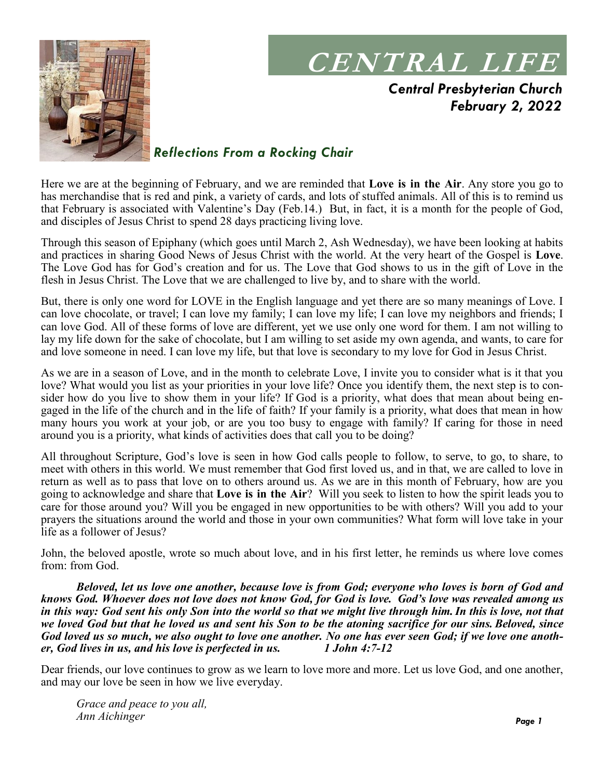

# **CENTRAL LIFE**

*Central Presbyterian Church February 2, 2022*

### *Reflections From a Rocking Chair*

Here we are at the beginning of February, and we are reminded that **Love is in the Air**. Any store you go to has merchandise that is red and pink, a variety of cards, and lots of stuffed animals. All of this is to remind us that February is associated with Valentine's Day (Feb.14.) But, in fact, it is a month for the people of God, and disciples of Jesus Christ to spend 28 days practicing living love.

Through this season of Epiphany (which goes until March 2, Ash Wednesday), we have been looking at habits and practices in sharing Good News of Jesus Christ with the world. At the very heart of the Gospel is **Love**. The Love God has for God's creation and for us. The Love that God shows to us in the gift of Love in the flesh in Jesus Christ. The Love that we are challenged to live by, and to share with the world.

But, there is only one word for LOVE in the English language and yet there are so many meanings of Love. I can love chocolate, or travel; I can love my family; I can love my life; I can love my neighbors and friends; I can love God. All of these forms of love are different, yet we use only one word for them. I am not willing to lay my life down for the sake of chocolate, but I am willing to set aside my own agenda, and wants, to care for and love someone in need. I can love my life, but that love is secondary to my love for God in Jesus Christ.

As we are in a season of Love, and in the month to celebrate Love, I invite you to consider what is it that you love? What would you list as your priorities in your love life? Once you identify them, the next step is to consider how do you live to show them in your life? If God is a priority, what does that mean about being engaged in the life of the church and in the life of faith? If your family is a priority, what does that mean in how many hours you work at your job, or are you too busy to engage with family? If caring for those in need around you is a priority, what kinds of activities does that call you to be doing?

All throughout Scripture, God's love is seen in how God calls people to follow, to serve, to go, to share, to meet with others in this world. We must remember that God first loved us, and in that, we are called to love in return as well as to pass that love on to others around us. As we are in this month of February, how are you going to acknowledge and share that **Love is in the Air**? Will you seek to listen to how the spirit leads you to care for those around you? Will you be engaged in new opportunities to be with others? Will you add to your prayers the situations around the world and those in your own communities? What form will love take in your life as a follower of Jesus?

John, the beloved apostle, wrote so much about love, and in his first letter, he reminds us where love comes from: from God.

*Beloved, let us love one another, because love is from God; everyone who loves is born of God and knows God. Whoever does not love does not know God, for God is love. God's love was revealed among us*  in this way: God sent his only Son into the world so that we might live through him. In this is love, not that *we loved God but that he loved us and sent his Son to be the atoning sacrifice for our sins. Beloved, since God loved us so much, we also ought to love one another. No one has ever seen God; if we love one another, God lives in us, and his love is perfected in us. 1 John 4:7-12* 

Dear friends, our love continues to grow as we learn to love more and more. Let us love God, and one another, and may our love be seen in how we live everyday.

*Grace and peace to you all, Ann Aichinger*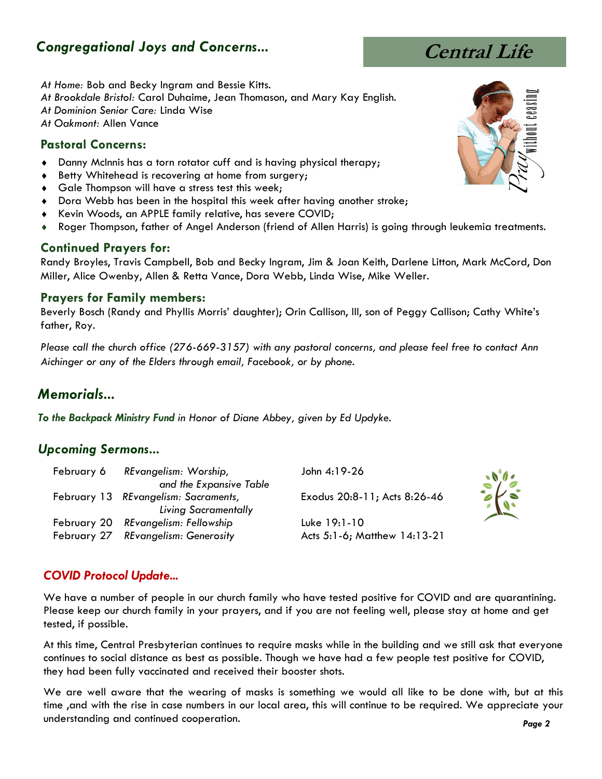# *Congregational Joys and Concerns...*

*At Home:* Bob and Becky Ingram and Bessie Kitts.

*At Brookdale Bristol:* Carol Duhaime, Jean Thomason, and Mary Kay English.

*At Dominion Senior Care:* Linda Wise

*At Oakmont:* Allen Vance

#### **Pastoral Concerns:**

- Danny McInnis has a torn rotator cuff and is having physical therapy;
- **Betty Whitehead is recovering at home from surgery;**
- **Gale Thompson will have a stress test this week;**
- Dora Webb has been in the hospital this week after having another stroke;
- ◆ Kevin Woods, an APPLE family relative, has severe COVID;
- Roger Thompson, father of Angel Anderson (friend of Allen Harris) is going through leukemia treatments.

#### **Continued Prayers for:**

Randy Broyles, Travis Campbell, Bob and Becky Ingram, Jim & Joan Keith, Darlene Litton, Mark McCord, Don Miller, Alice Owenby, Allen & Retta Vance, Dora Webb, Linda Wise, Mike Weller.

#### **Prayers for Family members:**

Beverly Bosch (Randy and Phyllis Morris' daughter); Orin Callison, III, son of Peggy Callison; Cathy White's father, Roy.

*Please call the church office (276-669-3157) with any pastoral concerns, and please feel free to contact Ann Aichinger or any of the Elders through email, Facebook, or by phone.*

# *Memorials...*

*To the Backpack Ministry Fund in Honor of Diane Abbey, given by Ed Updyke.*

#### *Upcoming Sermons...*

|                         | John 4:19-26                                                                                                                                           |
|-------------------------|--------------------------------------------------------------------------------------------------------------------------------------------------------|
| and the Expansive Table |                                                                                                                                                        |
|                         | Exodus 20:8-11; Acts 8:26-46                                                                                                                           |
| Living Sacramentally    |                                                                                                                                                        |
|                         | Luke 19:1-10                                                                                                                                           |
|                         | Acts 5:1-6; Matthew 14:13-21                                                                                                                           |
|                         | February 6 REvangelism: Worship,<br>February 13 REvangelism: Sacraments,<br>February 20 REvangelism: Fellowship<br>February 27 REvangelism: Generosity |

#### *COVID Protocol Update...*

We have a number of people in our church family who have tested positive for COVID and are quarantining. Please keep our church family in your prayers, and if you are not feeling well, please stay at home and get tested, if possible.

At this time, Central Presbyterian continues to require masks while in the building and we still ask that everyone continues to social distance as best as possible. Though we have had a few people test positive for COVID, they had been fully vaccinated and received their booster shots.

We are well aware that the wearing of masks is something we would all like to be done with, but at this time ,and with the rise in case numbers in our local area, this will continue to be required. We appreciate your understanding and continued cooperation.





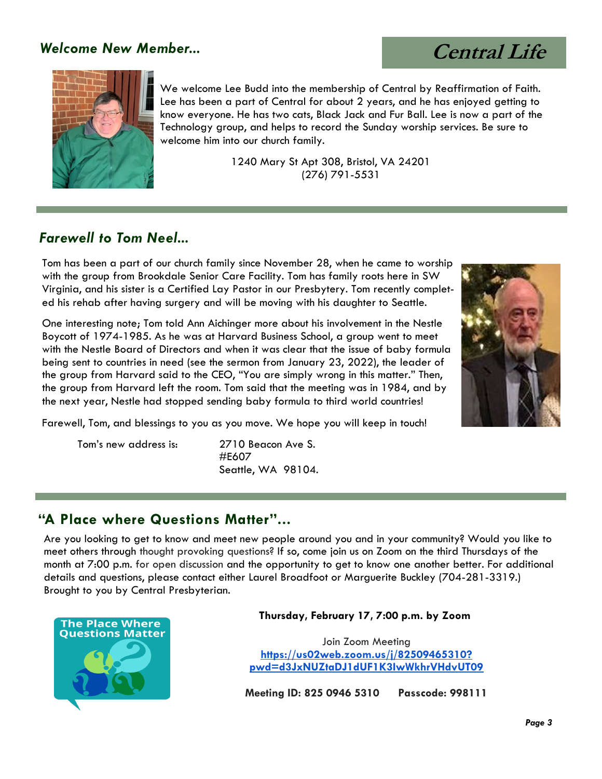## *Welcome New Member...*

 **Central Life**



We welcome Lee Budd into the membership of Central by Reaffirmation of Faith. Lee has been a part of Central for about 2 years, and he has enjoyed getting to know everyone. He has two cats, Black Jack and Fur Ball. Lee is now a part of the Technology group, and helps to record the Sunday worship services. Be sure to welcome him into our church family.

> 1240 Mary St Apt 308, Bristol, VA 24201 [\(276\) 791-5531](tel:2767915531)

## *Farewell to Tom Neel...*

Tom has been a part of our church family since November 28, when he came to worship with the group from Brookdale Senior Care Facility. Tom has family roots here in SW Virginia, and his sister is a Certified Lay Pastor in our Presbytery. Tom recently completed his rehab after having surgery and will be moving with his daughter to Seattle.

One interesting note; Tom told Ann Aichinger more about his involvement in the Nestle Boycott of 1974-1985. As he was at Harvard Business School, a group went to meet with the Nestle Board of Directors and when it was clear that the issue of baby formula being sent to countries in need (see the sermon from January 23, 2022), the leader of the group from Harvard said to the CEO, "You are simply wrong in this matter." Then, the group from Harvard left the room. Tom said that the meeting was in 1984, and by the next year, Nestle had stopped sending baby formula to third world countries!



Farewell, Tom, and blessings to you as you move. We hope you will keep in touch!

Tom's new address is: 2710 Beacon Ave S. #E607 Seattle, WA 98104.

#### **"A Place where Questions Matter"...**

Are you looking to get to know and meet new people around you and in your community? Would you like to meet others through thought provoking questions? If so, come join us on Zoom on the third Thursdays of the month at 7:00 p.m. for open discussion and the opportunity to get to know one another better. For additional details and questions, please contact either Laurel Broadfoot or Marguerite Buckley (704-281-3319.) Brought to you by Central Presbyterian.



#### **Thursday, February 17, 7:00 p.m. by Zoom**

Join Zoom Meeting **[https://us02web.zoom.us/j/82509465310?](https://us02web.zoom.us/j/82509465310?pwd=d3JxNUZtaDJ1dUF1K3IwWkhrVHdvUT09) [pwd=d3JxNUZtaDJ1dUF1K3IwWkhrVHdvUT09](https://us02web.zoom.us/j/82509465310?pwd=d3JxNUZtaDJ1dUF1K3IwWkhrVHdvUT09)**

**Meeting ID: 825 0946 5310 Passcode: 998111**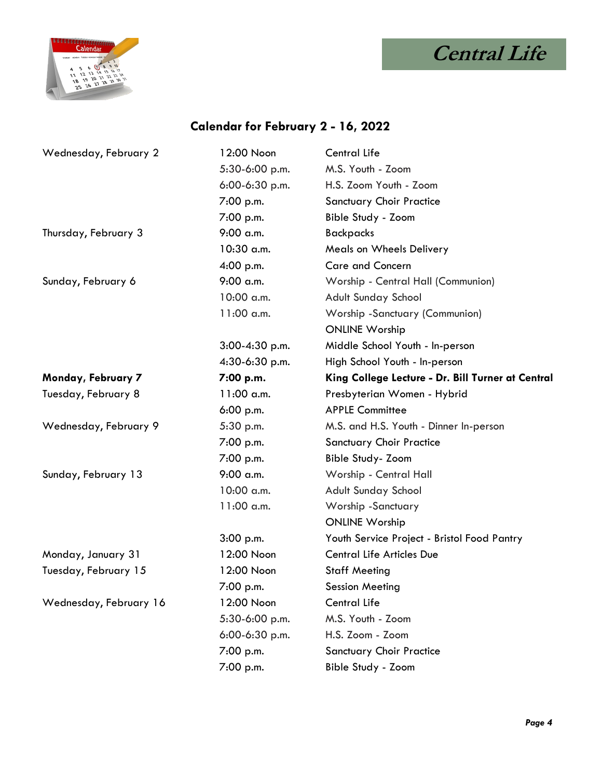



# **Calendar for February 2 - 16, 2022**

| Wednesday, February 2  | 12:00 Noon       | Central Life                                      |
|------------------------|------------------|---------------------------------------------------|
|                        | 5:30-6:00 p.m.   | M.S. Youth - Zoom                                 |
|                        | $6:00-6:30$ p.m. | H.S. Zoom Youth - Zoom                            |
|                        | 7:00 p.m.        | <b>Sanctuary Choir Practice</b>                   |
|                        | 7:00 p.m.        | Bible Study - Zoom                                |
| Thursday, February 3   | $9:00$ a.m.      | <b>Backpacks</b>                                  |
|                        | $10:30$ a.m.     | Meals on Wheels Delivery                          |
|                        | 4:00 p.m.        | <b>Care and Concern</b>                           |
| Sunday, February 6     | $9:00$ a.m.      | Worship - Central Hall (Communion)                |
|                        | 10:00 a.m.       | Adult Sunday School                               |
|                        | $11:00$ a.m.     | Worship -Sanctuary (Communion)                    |
|                        |                  | <b>ONLINE Worship</b>                             |
|                        | 3:00-4:30 p.m.   | Middle School Youth - In-person                   |
|                        | 4:30-6:30 p.m.   | High School Youth - In-person                     |
| Monday, February 7     | 7:00 p.m.        | King College Lecture - Dr. Bill Turner at Central |
| Tuesday, February 8    | $11:00$ a.m.     | Presbyterian Women - Hybrid                       |
|                        | $6:00$ p.m.      | <b>APPLE Committee</b>                            |
| Wednesday, February 9  | 5:30 p.m.        | M.S. and H.S. Youth - Dinner In-person            |
|                        | 7:00 p.m.        | <b>Sanctuary Choir Practice</b>                   |
|                        | 7:00 p.m.        | <b>Bible Study- Zoom</b>                          |
| Sunday, February 13    | $9:00$ a.m.      | Worship - Central Hall                            |
|                        | 10:00 a.m.       | Adult Sunday School                               |
|                        | $11:00$ a.m.     | Worship -Sanctuary                                |
|                        |                  | <b>ONLINE Worship</b>                             |
|                        | 3:00 p.m.        | Youth Service Project - Bristol Food Pantry       |
| Monday, January 31     | 12:00 Noon       | <b>Central Life Articles Due</b>                  |
| Tuesday, February 15   | 12:00 Noon       | <b>Staff Meeting</b>                              |
|                        | 7:00 p.m.        | Session Meeting                                   |
| Wednesday, February 16 | 12:00 Noon       | Central Life                                      |
|                        | 5:30-6:00 p.m.   | M.S. Youth - Zoom                                 |
|                        | 6:00-6:30 p.m.   | H.S. Zoom - Zoom                                  |
|                        | 7:00 p.m.        | <b>Sanctuary Choir Practice</b>                   |
|                        | 7:00 p.m.        | Bible Study - Zoom                                |
|                        |                  |                                                   |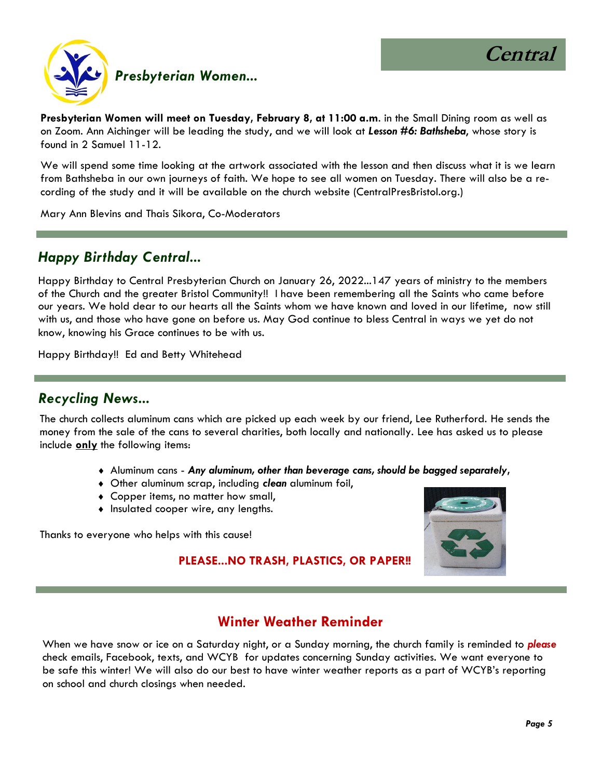

**Presbyterian Women will meet on Tuesday, February 8, at 11:00 a.m**. in the Small Dining room as well as on Zoom. Ann Aichinger will be leading the study, and we will look at *Lesson #6: Bathsheba*, whose story is found in 2 Samuel 11-12.

We will spend some time looking at the artwork associated with the lesson and then discuss what it is we learn from Bathsheba in our own journeys of faith. We hope to see all women on Tuesday. There will also be a recording of the study and it will be available on the church website (CentralPresBristol.org.)

Mary Ann Blevins and Thais Sikora, Co-Moderators

#### *Happy Birthday Central...*

Happy Birthday to Central Presbyterian Church on January 26, 2022...147 years of ministry to the members of the Church and the greater Bristol Community!! I have been remembering all the Saints who came before our years. We hold dear to our hearts all the Saints whom we have known and loved in our lifetime, now still with us, and those who have gone on before us. May God continue to bless Central in ways we yet do not know, knowing his Grace continues to be with us.

Happy Birthday!! Ed and Betty Whitehead

#### *Recycling News...*

The church collects aluminum cans which are picked up each week by our friend, Lee Rutherford. He sends the money from the sale of the cans to several charities, both locally and nationally. Lee has asked us to please include **only** the following items:

- Aluminum cans *Any aluminum, other than beverage cans, should be bagged separately***,**
- Other aluminum scrap, including *clean* aluminum foil,
- Copper items, no matter how small,
- Insulated cooper wire, any lengths.

Thanks to everyone who helps with this cause!



#### **PLEASE...NO TRASH, PLASTICS, OR PAPER!!**

#### **Winter Weather Reminder**

When we have snow or ice on a Saturday night, or a Sunday morning, the church family is reminded to *please*  check emails, Facebook, texts, and WCYB for updates concerning Sunday activities. We want everyone to be safe this winter! We will also do our best to have winter weather reports as a part of WCYB's reporting on school and church closings when needed.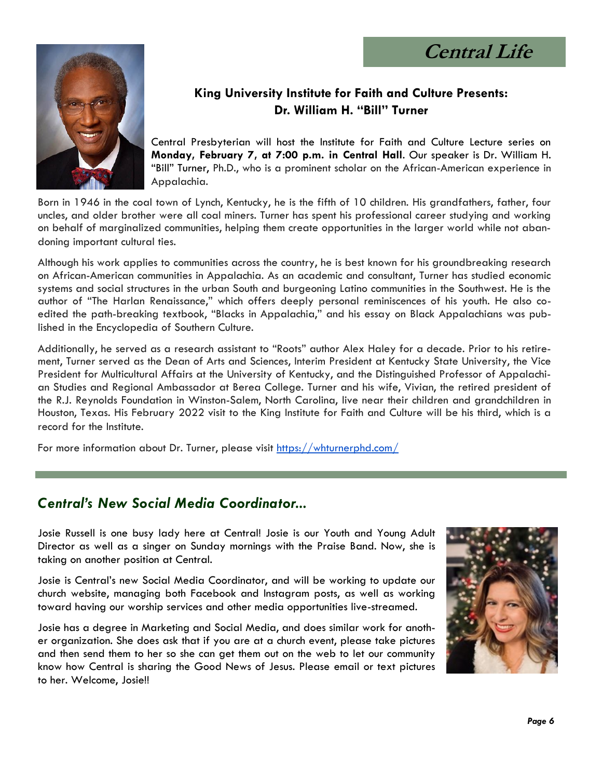**Central Life**



## **King University Institute for Faith and Culture Presents: Dr. William H. "Bill" Turner**

Central Presbyterian will host the Institute for Faith and Culture Lecture series on **Monday, February 7, at 7:00 p.m. in Central Hall**. Our speaker is Dr. William H. "Bill" Turner, Ph.D., who is a prominent scholar on the African-American experience in Appalachia.

Born in 1946 in the coal town of Lynch, Kentucky, he is the fifth of 10 children. His grandfathers, father, four uncles, and older brother were all coal miners. Turner has spent his professional career studying and working on behalf of marginalized communities, helping them create opportunities in the larger world while not abandoning important cultural ties.

Although his work applies to communities across the country, he is best known for his groundbreaking research on African-American communities in Appalachia. As an academic and consultant, Turner has studied economic systems and social structures in the urban South and burgeoning Latino communities in the Southwest. He is the author of "The Harlan Renaissance," which offers deeply personal reminiscences of his youth. He also coedited the path-breaking textbook, "Blacks in Appalachia," and his essay on Black Appalachians was published in the Encyclopedia of Southern Culture.

Additionally, he served as a research assistant to "Roots" author Alex Haley for a decade. Prior to his retirement, Turner served as the Dean of Arts and Sciences, Interim President at Kentucky State University, the Vice President for Multicultural Affairs at the University of Kentucky, and the Distinguished Professor of Appalachian Studies and Regional Ambassador at Berea College. Turner and his wife, Vivian, the retired president of the R.J. Reynolds Foundation in Winston-Salem, North Carolina, live near their children and grandchildren in Houston, Texas. His February 2022 visit to the King Institute for Faith and Culture will be his third, which is a record for the Institute.

For more information about Dr. Turner, please visit <https://whturnerphd.com/>

## *Central's New Social Media Coordinator...*

Josie Russell is one busy lady here at Central! Josie is our Youth and Young Adult Director as well as a singer on Sunday mornings with the Praise Band. Now, she is taking on another position at Central.

Josie is Central's new Social Media Coordinator, and will be working to update our church website, managing both Facebook and Instagram posts, as well as working toward having our worship services and other media opportunities live-streamed.

Josie has a degree in Marketing and Social Media, and does similar work for another organization. She does ask that if you are at a church event, please take pictures and then send them to her so she can get them out on the web to let our community know how Central is sharing the Good News of Jesus. Please email or text pictures to her. Welcome, Josie!!

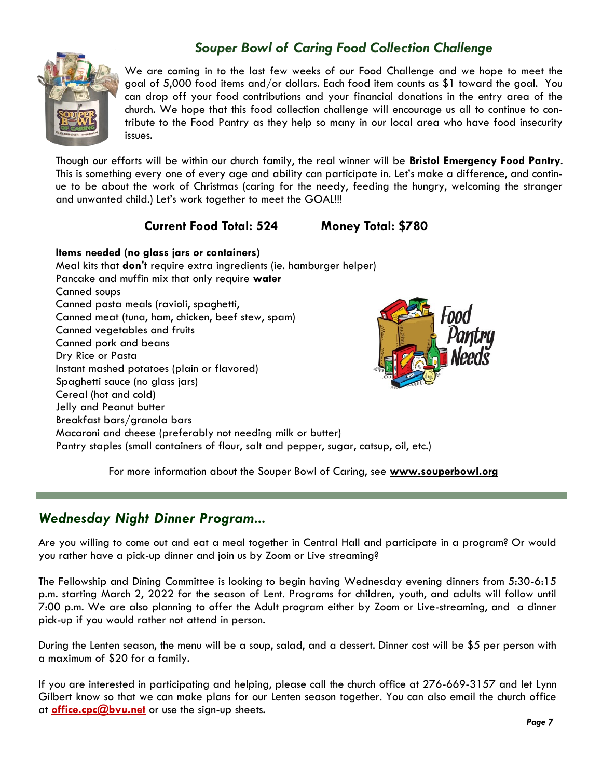# *Souper Bowl of Caring Food Collection Challenge*



We are coming in to the last few weeks of our Food Challenge and we hope to meet the goal of 5,000 food items and/or dollars. Each food item counts as \$1 toward the goal. You can drop off your food contributions and your financial donations in the entry area of the church. We hope that this food collection challenge will encourage us all to continue to contribute to the Food Pantry as they help so many in our local area who have food insecurity issues.

Though our efforts will be within our church family, the real winner will be **Bristol Emergency Food Pantry**. This is something every one of every age and ability can participate in. Let's make a difference, and continue to be about the work of Christmas (caring for the needy, feeding the hungry, welcoming the stranger and unwanted child.) Let's work together to meet the GOAL!!!

#### **Current Food Total: 524 Money Total: \$780**

**Items needed (no glass jars or containers)** Meal kits that **don't** require extra ingredients (ie. hamburger helper) Pancake and muffin mix that only require **water** Canned soups Canned pasta meals (ravioli, spaghetti, Canned meat (tuna, ham, chicken, beef stew, spam) Canned vegetables and fruits Canned pork and beans Dry Rice or Pasta Instant mashed potatoes (plain or flavored) Spaghetti sauce (no glass jars) Cereal (hot and cold) Jelly and Peanut butter Breakfast bars/granola bars Macaroni and cheese (preferably not needing milk or butter) Pantry staples (small containers of flour, salt and pepper, sugar, catsup, oil, etc.)

Food

For more information about the Souper Bowl of Caring, see **[www.souperbowl.org](about:blank)**

#### *Wednesday Night Dinner Program...*

Are you willing to come out and eat a meal together in Central Hall and participate in a program? Or would you rather have a pick-up dinner and join us by Zoom or Live streaming?

The Fellowship and Dining Committee is looking to begin having Wednesday evening dinners from 5:30-6:15 p.m. starting March 2, 2022 for the season of Lent. Programs for children, youth, and adults will follow until 7:00 p.m. We are also planning to offer the Adult program either by Zoom or Live-streaming, and a dinner pick-up if you would rather not attend in person.

During the Lenten season, the menu will be a soup, salad, and a dessert. Dinner cost will be \$5 per person with a maximum of \$20 for a family.

If you are interested in participating and helping, please call the church office at 276-669-3157 and let Lynn Gilbert know so that we can make plans for our Lenten season together. You can also email the church office at **[office.cpc@bvu.net](mailto:office.cpc@bvu.net)** or use the sign-up sheets.